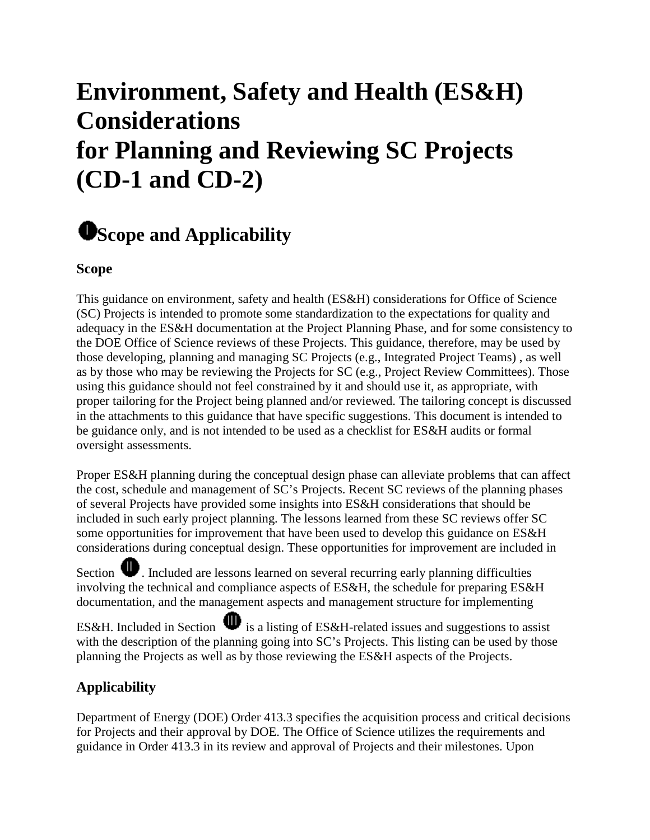# **Environment, Safety and Health (ES&H) Considerations for Planning and Reviewing SC Projects (CD-1 and CD-2)**

# **Scope and Applicability**

## **Scope**

This guidance on environment, safety and health (ES&H) considerations for Office of Science (SC) Projects is intended to promote some standardization to the expectations for quality and adequacy in the ES&H documentation at the Project Planning Phase, and for some consistency to the DOE Office of Science reviews of these Projects. This guidance, therefore, may be used by those developing, planning and managing SC Projects (e.g., Integrated Project Teams) , as well as by those who may be reviewing the Projects for SC (e.g., Project Review Committees). Those using this guidance should not feel constrained by it and should use it, as appropriate, with proper tailoring for the Project being planned and/or reviewed. The tailoring concept is discussed in the attachments to this guidance that have specific suggestions. This document is intended to be guidance only, and is not intended to be used as a checklist for ES&H audits or formal oversight assessments.

Proper ES&H planning during the conceptual design phase can alleviate problems that can affect the cost, schedule and management of SC's Projects. Recent SC reviews of the planning phases of several Projects have provided some insights into ES&H considerations that should be included in such early project planning. The lessons learned from these SC reviews offer SC some opportunities for improvement that have been used to develop this guidance on ES&H considerations during conceptual design. These opportunities for improvement are included in

Section  $\bullet$ . Included are lessons learned on several recurring early planning difficulties involving the technical and compliance aspects of ES&H, the schedule for preparing ES&H documentation, and the management aspects and management structure for implementing

ES&H. Included in Section  $\mathbf{\mathbf{\Psi}}$  is a listing of ES&H-related issues and suggestions to assist with the description of the planning going into SC's Projects. This listing can be used by those planning the Projects as well as by those reviewing the ES&H aspects of the Projects.

# **Applicability**

Department of Energy (DOE) Order 413.3 specifies the acquisition process and critical decisions for Projects and their approval by DOE. The Office of Science utilizes the requirements and guidance in Order 413.3 in its review and approval of Projects and their milestones. Upon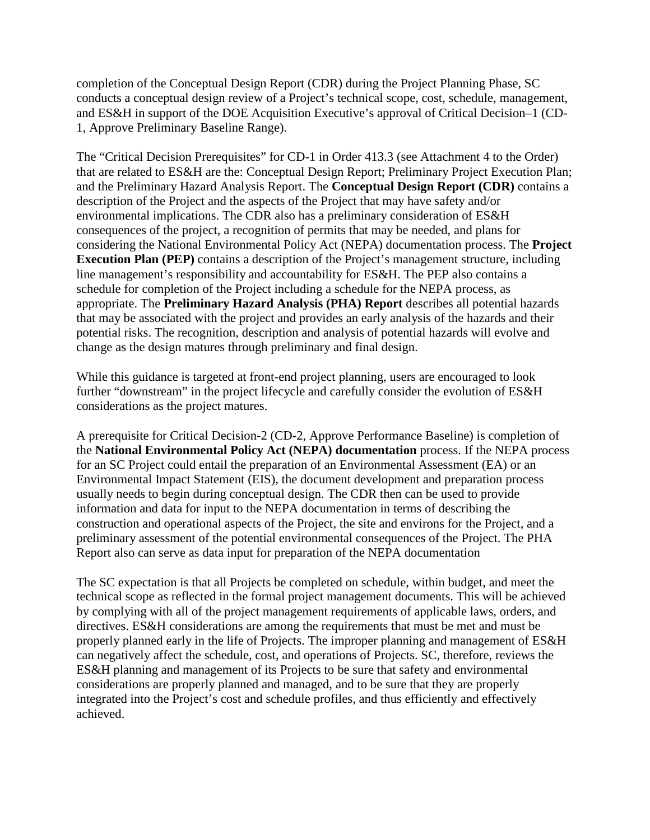completion of the Conceptual Design Report (CDR) during the Project Planning Phase, SC conducts a conceptual design review of a Project's technical scope, cost, schedule, management, and ES&H in support of the DOE Acquisition Executive's approval of Critical Decision–1 (CD-1, Approve Preliminary Baseline Range).

The "Critical Decision Prerequisites" for CD-1 in Order 413.3 (see Attachment 4 to the Order) that are related to ES&H are the: Conceptual Design Report; Preliminary Project Execution Plan; and the Preliminary Hazard Analysis Report. The **Conceptual Design Report (CDR)** contains a description of the Project and the aspects of the Project that may have safety and/or environmental implications. The CDR also has a preliminary consideration of ES&H consequences of the project, a recognition of permits that may be needed, and plans for considering the National Environmental Policy Act (NEPA) documentation process. The **Project Execution Plan (PEP)** contains a description of the Project's management structure, including line management's responsibility and accountability for ES&H. The PEP also contains a schedule for completion of the Project including a schedule for the NEPA process, as appropriate. The **Preliminary Hazard Analysis (PHA) Report** describes all potential hazards that may be associated with the project and provides an early analysis of the hazards and their potential risks. The recognition, description and analysis of potential hazards will evolve and change as the design matures through preliminary and final design.

While this guidance is targeted at front-end project planning, users are encouraged to look further "downstream" in the project lifecycle and carefully consider the evolution of ES&H considerations as the project matures.

A prerequisite for Critical Decision-2 (CD-2, Approve Performance Baseline) is completion of the **National Environmental Policy Act (NEPA) documentation** process. If the NEPA process for an SC Project could entail the preparation of an Environmental Assessment (EA) or an Environmental Impact Statement (EIS), the document development and preparation process usually needs to begin during conceptual design. The CDR then can be used to provide information and data for input to the NEPA documentation in terms of describing the construction and operational aspects of the Project, the site and environs for the Project, and a preliminary assessment of the potential environmental consequences of the Project. The PHA Report also can serve as data input for preparation of the NEPA documentation

The SC expectation is that all Projects be completed on schedule, within budget, and meet the technical scope as reflected in the formal project management documents. This will be achieved by complying with all of the project management requirements of applicable laws, orders, and directives. ES&H considerations are among the requirements that must be met and must be properly planned early in the life of Projects. The improper planning and management of ES&H can negatively affect the schedule, cost, and operations of Projects. SC, therefore, reviews the ES&H planning and management of its Projects to be sure that safety and environmental considerations are properly planned and managed, and to be sure that they are properly integrated into the Project's cost and schedule profiles, and thus efficiently and effectively achieved.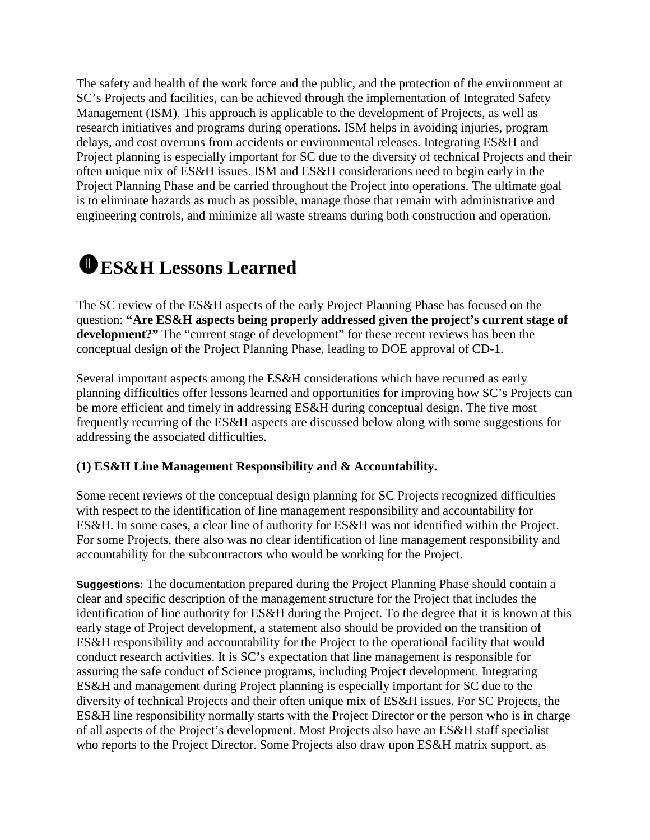The safety and health of the work force and the public, and the protection of the environment at SC's Projects and facilities, can be achieved through the implementation of Integrated Safety Management (ISM). This approach is applicable to the development of Projects, as well as research initiatives and programs during operations. ISM helps in avoiding injuries, program delays, and cost overruns from accidents or environmental releases. Integrating ES&H and Project planning is especially important for SC due to the diversity of technical Projects and their often unique mix of ES&H issues. ISM and ES&H considerations need to begin early in the Project Planning Phase and be carried throughout the Project into operations. The ultimate goal is to eliminate hazards as much as possible, manage those that remain with administrative and engineering controls, and minimize all waste streams during both construction and operation.

# **ES&H Lessons Learned**

The SC review of the ES&H aspects of the early Project Planning Phase has focused on the question: **"Are ES&H aspects being properly addressed given the project's current stage of development?"** The "current stage of development" for these recent reviews has been the conceptual design of the Project Planning Phase, leading to DOE approval of CD-1.

Several important aspects among the ES&H considerations which have recurred as early planning difficulties offer lessons learned and opportunities for improving how SC's Projects can be more efficient and timely in addressing ES&H during conceptual design. The five most frequently recurring of the ES&H aspects are discussed below along with some suggestions for addressing the associated difficulties.

#### **(1) ES&H Line Management Responsibility and & Accountability.**

Some recent reviews of the conceptual design planning for SC Projects recognized difficulties with respect to the identification of line management responsibility and accountability for ES&H. In some cases, a clear line of authority for ES&H was not identified within the Project. For some Projects, there also was no clear identification of line management responsibility and accountability for the subcontractors who would be working for the Project.

**Suggestions:** The documentation prepared during the Project Planning Phase should contain a clear and specific description of the management structure for the Project that includes the identification of line authority for ES&H during the Project. To the degree that it is known at this early stage of Project development, a statement also should be provided on the transition of ES&H responsibility and accountability for the Project to the operational facility that would conduct research activities. It is SC's expectation that line management is responsible for assuring the safe conduct of Science programs, including Project development. Integrating ES&H and management during Project planning is especially important for SC due to the diversity of technical Projects and their often unique mix of ES&H issues. For SC Projects, the ES&H line responsibility normally starts with the Project Director or the person who is in charge of all aspects of the Project's development. Most Projects also have an ES&H staff specialist who reports to the Project Director. Some Projects also draw upon ES&H matrix support, as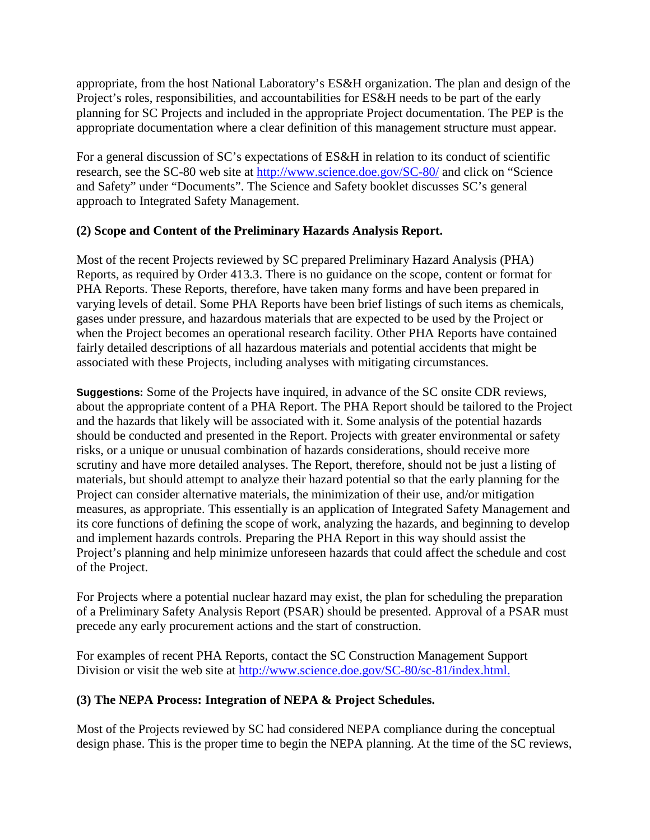appropriate, from the host National Laboratory's ES&H organization. The plan and design of the Project's roles, responsibilities, and accountabilities for ES&H needs to be part of the early planning for SC Projects and included in the appropriate Project documentation. The PEP is the appropriate documentation where a clear definition of this management structure must appear.

For a general discussion of SC's expectations of ES&H in relation to its conduct of scientific research, see the SC-80 web site at<http://www.science.doe.gov/SC-80/> and click on "Science and Safety" under "Documents". The Science and Safety booklet discusses SC's general approach to Integrated Safety Management.

#### **(2) Scope and Content of the Preliminary Hazards Analysis Report.**

Most of the recent Projects reviewed by SC prepared Preliminary Hazard Analysis (PHA) Reports, as required by Order 413.3. There is no guidance on the scope, content or format for PHA Reports. These Reports, therefore, have taken many forms and have been prepared in varying levels of detail. Some PHA Reports have been brief listings of such items as chemicals, gases under pressure, and hazardous materials that are expected to be used by the Project or when the Project becomes an operational research facility. Other PHA Reports have contained fairly detailed descriptions of all hazardous materials and potential accidents that might be associated with these Projects, including analyses with mitigating circumstances.

**Suggestions:** Some of the Projects have inquired, in advance of the SC onsite CDR reviews, about the appropriate content of a PHA Report. The PHA Report should be tailored to the Project and the hazards that likely will be associated with it. Some analysis of the potential hazards should be conducted and presented in the Report. Projects with greater environmental or safety risks, or a unique or unusual combination of hazards considerations, should receive more scrutiny and have more detailed analyses. The Report, therefore, should not be just a listing of materials, but should attempt to analyze their hazard potential so that the early planning for the Project can consider alternative materials, the minimization of their use, and/or mitigation measures, as appropriate. This essentially is an application of Integrated Safety Management and its core functions of defining the scope of work, analyzing the hazards, and beginning to develop and implement hazards controls. Preparing the PHA Report in this way should assist the Project's planning and help minimize unforeseen hazards that could affect the schedule and cost of the Project.

For Projects where a potential nuclear hazard may exist, the plan for scheduling the preparation of a Preliminary Safety Analysis Report (PSAR) should be presented. Approval of a PSAR must precede any early procurement actions and the start of construction.

For examples of recent PHA Reports, contact the SC Construction Management Support Division or visit the web site at [http://www.science.doe.gov/SC-80/sc-81/index.html.](http://www.science.doe.gov/SC-80/sc-81/index.html)

#### **(3) The NEPA Process: Integration of NEPA & Project Schedules.**

Most of the Projects reviewed by SC had considered NEPA compliance during the conceptual design phase. This is the proper time to begin the NEPA planning. At the time of the SC reviews,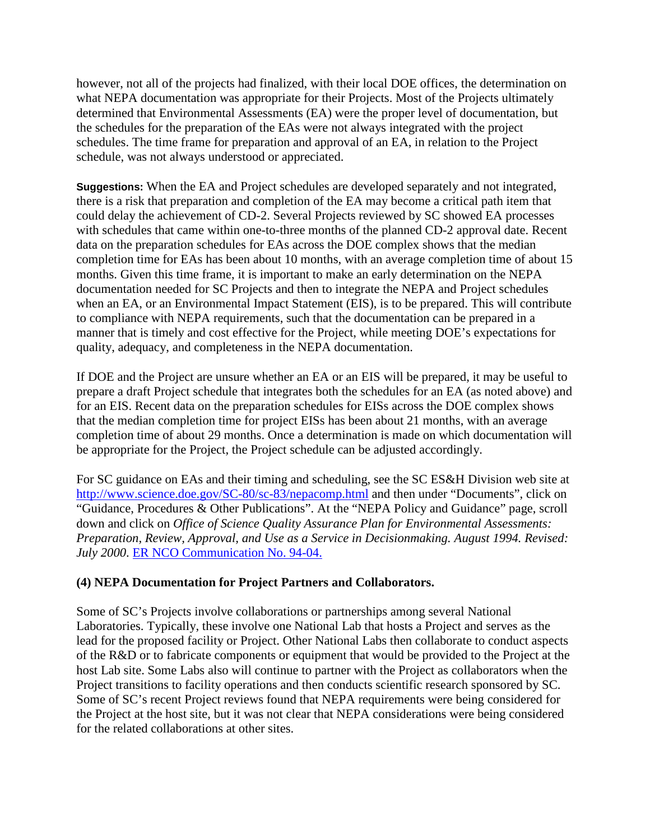however, not all of the projects had finalized, with their local DOE offices, the determination on what NEPA documentation was appropriate for their Projects. Most of the Projects ultimately determined that Environmental Assessments (EA) were the proper level of documentation, but the schedules for the preparation of the EAs were not always integrated with the project schedules. The time frame for preparation and approval of an EA, in relation to the Project schedule, was not always understood or appreciated.

**Suggestions:** When the EA and Project schedules are developed separately and not integrated, there is a risk that preparation and completion of the EA may become a critical path item that could delay the achievement of CD-2. Several Projects reviewed by SC showed EA processes with schedules that came within one-to-three months of the planned CD-2 approval date. Recent data on the preparation schedules for EAs across the DOE complex shows that the median completion time for EAs has been about 10 months, with an average completion time of about 15 months. Given this time frame, it is important to make an early determination on the NEPA documentation needed for SC Projects and then to integrate the NEPA and Project schedules when an EA, or an Environmental Impact Statement (EIS), is to be prepared. This will contribute to compliance with NEPA requirements, such that the documentation can be prepared in a manner that is timely and cost effective for the Project, while meeting DOE's expectations for quality, adequacy, and completeness in the NEPA documentation.

If DOE and the Project are unsure whether an EA or an EIS will be prepared, it may be useful to prepare a draft Project schedule that integrates both the schedules for an EA (as noted above) and for an EIS. Recent data on the preparation schedules for EISs across the DOE complex shows that the median completion time for project EISs has been about 21 months, with an average completion time of about 29 months. Once a determination is made on which documentation will be appropriate for the Project, the Project schedule can be adjusted accordingly.

For SC guidance on EAs and their timing and scheduling, see the SC ES&H Division web site at <http://www.science.doe.gov/SC-80/sc-83/nepacomp.html> and then under "Documents", click on "Guidance, Procedures & Other Publications". At the "NEPA Policy and Guidance" page, scroll down and click on *Office of Science Quality Assurance Plan for Environmental Assessments: Preparation, Review, Approval, and Use as a Service in Decisionmaking. August 1994. Revised: July 2000*. [ER NCO Communication No. 94-04.](http://www.sc.doe.gov/sc-80/sc-83/docs/nepadocs/92-04.pdf)

### **(4) NEPA Documentation for Project Partners and Collaborators.**

Some of SC's Projects involve collaborations or partnerships among several National Laboratories. Typically, these involve one National Lab that hosts a Project and serves as the lead for the proposed facility or Project. Other National Labs then collaborate to conduct aspects of the R&D or to fabricate components or equipment that would be provided to the Project at the host Lab site. Some Labs also will continue to partner with the Project as collaborators when the Project transitions to facility operations and then conducts scientific research sponsored by SC. Some of SC's recent Project reviews found that NEPA requirements were being considered for the Project at the host site, but it was not clear that NEPA considerations were being considered for the related collaborations at other sites.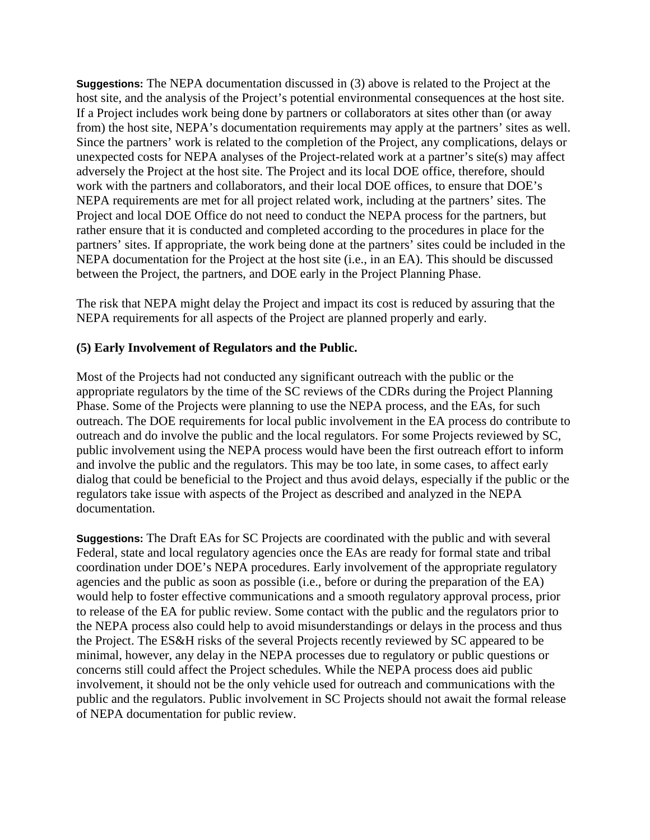**Suggestions:** The NEPA documentation discussed in (3) above is related to the Project at the host site, and the analysis of the Project's potential environmental consequences at the host site. If a Project includes work being done by partners or collaborators at sites other than (or away from) the host site, NEPA's documentation requirements may apply at the partners' sites as well. Since the partners' work is related to the completion of the Project, any complications, delays or unexpected costs for NEPA analyses of the Project-related work at a partner's site(s) may affect adversely the Project at the host site. The Project and its local DOE office, therefore, should work with the partners and collaborators, and their local DOE offices, to ensure that DOE's NEPA requirements are met for all project related work, including at the partners' sites. The Project and local DOE Office do not need to conduct the NEPA process for the partners, but rather ensure that it is conducted and completed according to the procedures in place for the partners' sites. If appropriate, the work being done at the partners' sites could be included in the NEPA documentation for the Project at the host site (i.e., in an EA). This should be discussed between the Project, the partners, and DOE early in the Project Planning Phase.

The risk that NEPA might delay the Project and impact its cost is reduced by assuring that the NEPA requirements for all aspects of the Project are planned properly and early.

#### **(5) Early Involvement of Regulators and the Public.**

Most of the Projects had not conducted any significant outreach with the public or the appropriate regulators by the time of the SC reviews of the CDRs during the Project Planning Phase. Some of the Projects were planning to use the NEPA process, and the EAs, for such outreach. The DOE requirements for local public involvement in the EA process do contribute to outreach and do involve the public and the local regulators. For some Projects reviewed by SC, public involvement using the NEPA process would have been the first outreach effort to inform and involve the public and the regulators. This may be too late, in some cases, to affect early dialog that could be beneficial to the Project and thus avoid delays, especially if the public or the regulators take issue with aspects of the Project as described and analyzed in the NEPA documentation.

**Suggestions:** The Draft EAs for SC Projects are coordinated with the public and with several Federal, state and local regulatory agencies once the EAs are ready for formal state and tribal coordination under DOE's NEPA procedures. Early involvement of the appropriate regulatory agencies and the public as soon as possible (i.e., before or during the preparation of the EA) would help to foster effective communications and a smooth regulatory approval process, prior to release of the EA for public review. Some contact with the public and the regulators prior to the NEPA process also could help to avoid misunderstandings or delays in the process and thus the Project. The ES&H risks of the several Projects recently reviewed by SC appeared to be minimal, however, any delay in the NEPA processes due to regulatory or public questions or concerns still could affect the Project schedules. While the NEPA process does aid public involvement, it should not be the only vehicle used for outreach and communications with the public and the regulators. Public involvement in SC Projects should not await the formal release of NEPA documentation for public review.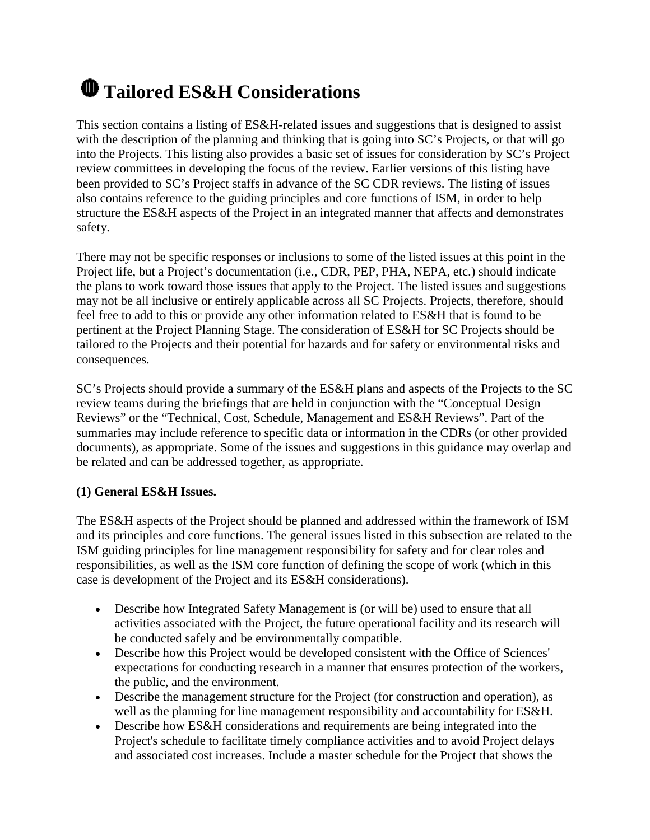# **Tailored ES&H Considerations**

This section contains a listing of ES&H-related issues and suggestions that is designed to assist with the description of the planning and thinking that is going into SC's Projects, or that will go into the Projects. This listing also provides a basic set of issues for consideration by SC's Project review committees in developing the focus of the review. Earlier versions of this listing have been provided to SC's Project staffs in advance of the SC CDR reviews. The listing of issues also contains reference to the guiding principles and core functions of ISM, in order to help structure the ES&H aspects of the Project in an integrated manner that affects and demonstrates safety.

There may not be specific responses or inclusions to some of the listed issues at this point in the Project life, but a Project's documentation (i.e., CDR, PEP, PHA, NEPA, etc.) should indicate the plans to work toward those issues that apply to the Project. The listed issues and suggestions may not be all inclusive or entirely applicable across all SC Projects. Projects, therefore, should feel free to add to this or provide any other information related to ES&H that is found to be pertinent at the Project Planning Stage. The consideration of ES&H for SC Projects should be tailored to the Projects and their potential for hazards and for safety or environmental risks and consequences.

SC's Projects should provide a summary of the ES&H plans and aspects of the Projects to the SC review teams during the briefings that are held in conjunction with the "Conceptual Design Reviews" or the "Technical, Cost, Schedule, Management and ES&H Reviews". Part of the summaries may include reference to specific data or information in the CDRs (or other provided documents), as appropriate. Some of the issues and suggestions in this guidance may overlap and be related and can be addressed together, as appropriate.

### **(1) General ES&H Issues.**

The ES&H aspects of the Project should be planned and addressed within the framework of ISM and its principles and core functions. The general issues listed in this subsection are related to the ISM guiding principles for line management responsibility for safety and for clear roles and responsibilities, as well as the ISM core function of defining the scope of work (which in this case is development of the Project and its ES&H considerations).

- Describe how Integrated Safety Management is (or will be) used to ensure that all activities associated with the Project, the future operational facility and its research will be conducted safely and be environmentally compatible.
- Describe how this Project would be developed consistent with the Office of Sciences' expectations for conducting research in a manner that ensures protection of the workers, the public, and the environment.
- Describe the management structure for the Project (for construction and operation), as well as the planning for line management responsibility and accountability for ES&H.
- Describe how ES&H considerations and requirements are being integrated into the Project's schedule to facilitate timely compliance activities and to avoid Project delays and associated cost increases. Include a master schedule for the Project that shows the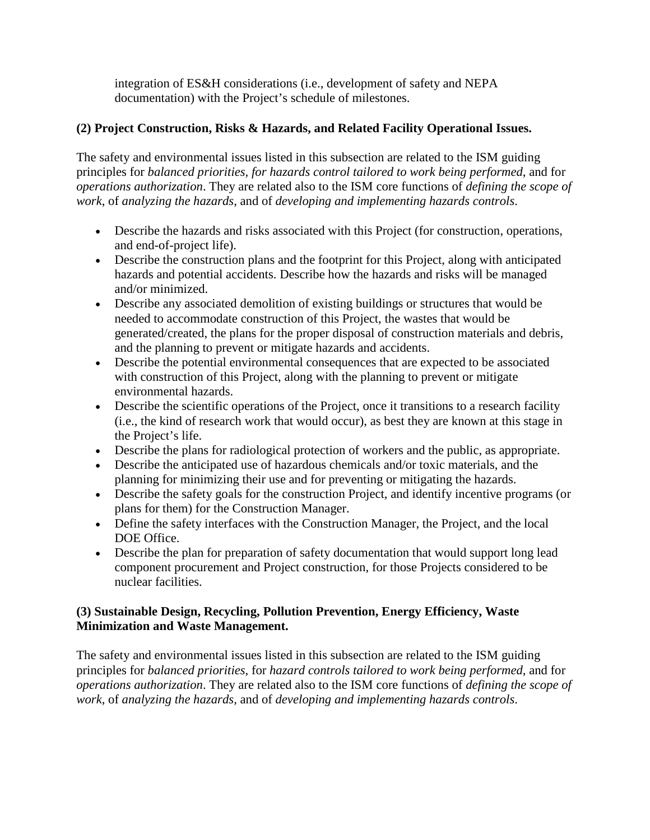integration of ES&H considerations (i.e., development of safety and NEPA documentation) with the Project's schedule of milestones.

## **(2) Project Construction, Risks & Hazards, and Related Facility Operational Issues.**

The safety and environmental issues listed in this subsection are related to the ISM guiding principles for *balanced priorities, for hazards control tailored to work being performed*, and for *operations authorization*. They are related also to the ISM core functions of *defining the scope of work*, of *analyzing the hazards*, and of *developing and implementing hazards controls*.

- Describe the hazards and risks associated with this Project (for construction, operations, and end-of-project life).
- Describe the construction plans and the footprint for this Project, along with anticipated hazards and potential accidents. Describe how the hazards and risks will be managed and/or minimized.
- Describe any associated demolition of existing buildings or structures that would be needed to accommodate construction of this Project, the wastes that would be generated/created, the plans for the proper disposal of construction materials and debris, and the planning to prevent or mitigate hazards and accidents.
- Describe the potential environmental consequences that are expected to be associated with construction of this Project, along with the planning to prevent or mitigate environmental hazards.
- Describe the scientific operations of the Project, once it transitions to a research facility (i.e., the kind of research work that would occur), as best they are known at this stage in the Project's life.
- Describe the plans for radiological protection of workers and the public, as appropriate.
- Describe the anticipated use of hazardous chemicals and/or toxic materials, and the planning for minimizing their use and for preventing or mitigating the hazards.
- Describe the safety goals for the construction Project, and identify incentive programs (or plans for them) for the Construction Manager.
- Define the safety interfaces with the Construction Manager, the Project, and the local DOE Office.
- Describe the plan for preparation of safety documentation that would support long lead component procurement and Project construction, for those Projects considered to be nuclear facilities.

#### **(3) Sustainable Design, Recycling, Pollution Prevention, Energy Efficiency, Waste Minimization and Waste Management.**

The safety and environmental issues listed in this subsection are related to the ISM guiding principles for *balanced priorities*, for *hazard controls tailored to work being performed*, and for *operations authorization*. They are related also to the ISM core functions of *defining the scope of work*, of *analyzing the hazards*, and of *developing and implementing hazards controls*.